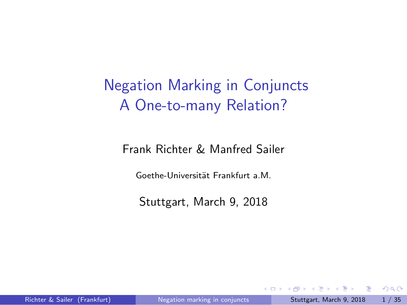### Negation Marking in Conjuncts A One-to-many Relation?

Frank Richter & Manfred Sailer

Goethe-Universität Frankfurt a.M.

Stuttgart, March 9, 2018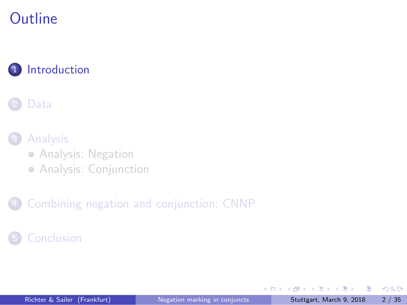## **Outline**

#### 1 Introduction



3 Analysis

Analysis: Negation

Analysis: Conjunction

4 Combining negation and conjunction: CNNP

5 Conclusion

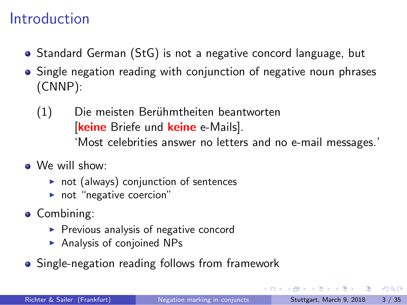#### Introduction

- Standard German (StG) is not a negative concord language, but
- Single negation reading with conjunction of negative noun phrases (CNNP):
	- (1) Die meisten Berühmtheiten beantworten [**keine** Briefe und **keine** e-Mails]. 'Most celebrities answer no letters and no e-mail messages.'
- We will show:
	- ▶ not (always) conjunction of sentences
	- ▶ not "negative coercion"
- Combining:
	- ▶ Previous analysis of negative concord
	- ▶ Analysis of conjoined NPs
- **•** Single-negation reading follows from framework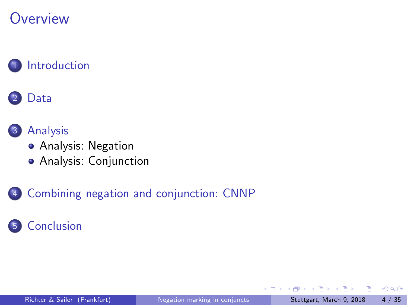

1 Introduction



3 Analysis

- Analysis: Negation
- Analysis: Conjunction

4 Combining negation and conjunction: CNNP

5 Conclusion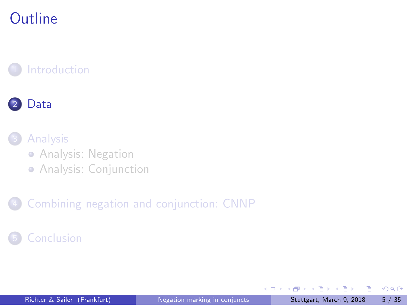## **Outline**





3 Analysis

Analysis: Negation

Analysis: Conjunction

4 Combining negation and conjunction: CNNP

5 Conclusion

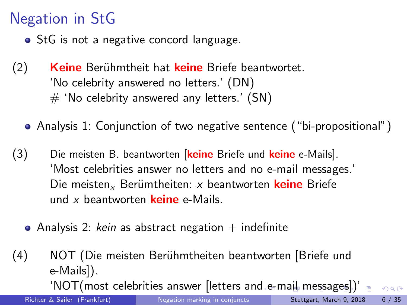#### Negation in StG

- StG is not a negative concord language.
- (2) **Keine** Berühmtheit hat **keine** Briefe beantwortet. 'No celebrity answered no letters.' (DN)  $#$  'No celebrity answered any letters.' (SN)
	- Analysis 1: Conjunction of two negative sentence ("bi-propositional")
- (3) Die meisten B. beantworten [**keine** Briefe und **keine** e-Mails]. 'Most celebrities answer no letters and no e-mail messages.' Die meisten<sub>x</sub> Berümtheiten: x beantworten keine Briefe und *x* beantworten **keine** e-Mails.
	- Analysis 2: kein as abstract negation + indefinite
- (4) NOT (Die meisten Beruhmtheiten beantworten [Briefe und ¨ e-Mails]).

 $\cdot$ NOT(most celebrities answer [letters and e-mail messages])'  $_{\equiv}$  .  $\circ$  a.  $\circ$ Richter & Sailer (Frankfurt) Negation marking in conjuncts Stuttgart, March 9, 2018 6 / 35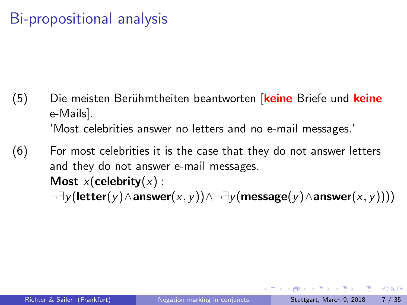### Bi-propositional analysis

- (5) Die meisten Berühmtheiten beantworten [keine Briefe und keine e-Mails]. 'Most celebrities answer no letters and no e-mail messages.'
- (6) For most celebrities it is the case that they do not answer letters and they do not answer e-mail messages. **Most**  $x$ (**celebrity** $(x)$  : *¬∃y*(**letter**(*y*)*∧***answer**(*x, y*))*∧¬∃y*(**message**(*y*)*∧***answer**(*x, y*))))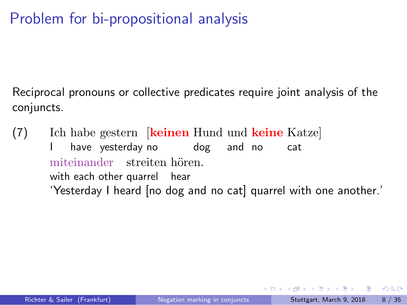### Problem for bi-propositional analysis

Reciprocal pronouns or collective predicates require joint analysis of the conjuncts.

(7) Ich habe gestern [**keinen** Hund und **keine** Katze] I have yesterday no dog and no cat miteinander streiten hören. with each other quarrel hear 'Yesterday I heard [no dog and no cat] quarrel with one another.'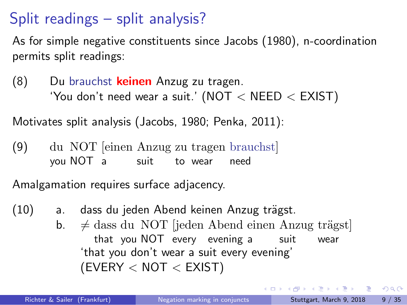#### Split readings – split analysis?

As for simple negative constituents since Jacobs (1980), n-coordination permits split readings:

(8) Du brauchst **keinen** Anzug zu tragen. 'You don't need wear a suit.' (NOT *<* NEED *<* EXIST)

Motivates split analysis (Jacobs, 1980; Penka, 2011):

 $(9)$ you NOT a NOT [einen Anzug zu tragen brauchst] suit to wear need

Amalgamation requires surface adjacency.

- (10) a. dass du jeden Abend keinen Anzug trägst.
	- $\mathsf{b.} \neq \text{dass}$  du NOT [jeden Abend einen Anzug trägst] that you NOT every evening a suit wear 'that you don't wear a suit every evening' (EVERY *<* NOT *<* EXIST)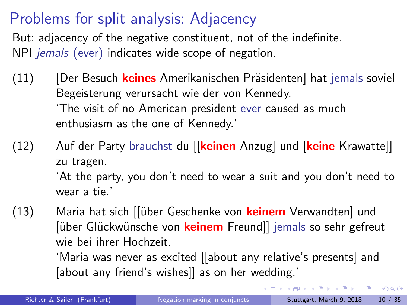#### Problems for split analysis: Adjacency

But: adjacency of the negative constituent, not of the indefinite. NPI *jemals* (ever) indicates wide scope of negation.

- (11) [Der Besuch keines Amerikanischen Präsidenten] hat jemals soviel Begeisterung verursacht wie der von Kennedy. 'The visit of no American president ever caused as much enthusiasm as the one of Kennedy.'
- (12) Auf der Party brauchst du [[**keinen** Anzug] und [**keine** Krawatte]] zu tragen. 'At the party, you don't need to wear a suit and you don't need to wear a tie.'
- (13) Maria hat sich [[über Geschenke von **keinem** Verwandten] und [über Glückwünsche von **keinem** Freund]] jemals so sehr gefreut wie bei ihrer Hochzeit.

'Maria was never as excited [[about any relative's presents] and [about any friend's wishes]] as on her wedding.'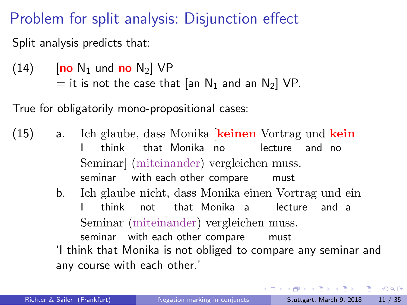#### Problem for split analysis: Disjunction effect

Split analysis predicts that:

 $(14)$  [**no** N<sub>1</sub> und **no** N<sub>2</sub>] VP = it is not the case that [an  $N_1$  and an  $N_2$ ] VP.

True for obligatorily mono-propositional cases:

- $(15)$  a.  $\mathbf{I}$ glaube, dass Monika [**keinen** Vortrag und **kein** think that Monika no lecture and no Seminar] (miteinander) vergleichen muss. seminar with each other compare must
	- b. Ich glaube nicht, dass Monika einen Vortrag und ein I think not that Monika a lecture and a Seminar (miteinander) vergleichen muss. seminar with each other compare must

'I think that Monika is not obliged to compare any seminar and any course with each other.'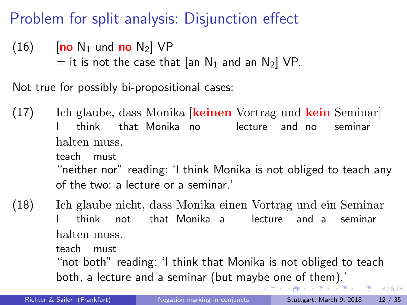#### Problem for split analysis: Disjunction effect

 $(16)$  [no N<sub>1</sub> und no N<sub>2</sub>] VP  $=$  it is not the case that [an N<sub>1</sub> and an N<sub>2</sub>] VP.

Not true for possibly bi-propositional cases:

 $(17)$ I glaube, dass Monika [**keinen** Vortrag und **kein** Seminar] think that Monika no lecture and no seminar halten muss. teach must "neither nor" reading: 'I think Monika is not obliged to teach any of the two: a lecture or a seminar.'

 $(18)$ I glaube nicht, dass Monika einen Vortrag und ein Seminar think not that Monika a lecture and a seminar halten muss. teach must

> "not both" reading: 'I think that Monika is not obliged to teach both, a lecture and a seminar (but maybe one of them).'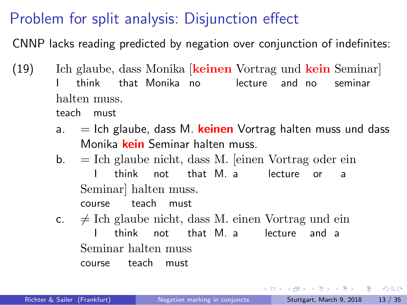## Problem for split analysis: Disjunction effect

CNNP lacks reading predicted by negation over conjunction of indefinites:

| (19) |    | Ich glaube, dass Monika keinen Vortrag und kein Seminar     |       |                                                        |  |  |  |         |  |
|------|----|-------------------------------------------------------------|-------|--------------------------------------------------------|--|--|--|---------|--|
|      |    | think that Monika no lecture and no                         |       |                                                        |  |  |  | seminar |  |
|      |    | halten muss.                                                |       |                                                        |  |  |  |         |  |
|      |    | teach must                                                  |       |                                                        |  |  |  |         |  |
|      | a. | $=$ Ich glaube, dass M. keinen Vortrag halten muss und dass |       |                                                        |  |  |  |         |  |
|      |    |                                                             |       | Monika kein Seminar halten muss.                       |  |  |  |         |  |
|      | b. | $=$ Ich glaube nicht, dass M. [einen Vortrag oder ein       |       |                                                        |  |  |  |         |  |
|      |    |                                                             |       | think not that M. a lecture or                         |  |  |  | a a     |  |
|      |    |                                                             |       | Seminar halten muss.                                   |  |  |  |         |  |
|      |    |                                                             |       | course teach must                                      |  |  |  |         |  |
|      | C. |                                                             |       | $\neq$ Ich glaube nicht, dass M. einen Vortrag und ein |  |  |  |         |  |
|      |    |                                                             | think | not that M a lecture and a                             |  |  |  |         |  |
|      |    |                                                             |       | Seminar halten muss                                    |  |  |  |         |  |
|      |    |                                                             |       | course teach must                                      |  |  |  |         |  |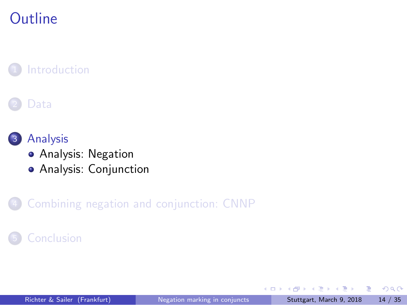### **Outline**

**1** Introduction

2 Data

3 Analysis

Analysis: Negation

Analysis: Conjunction

4 Combining negation and conjunction: CNNP

5 Conclusion

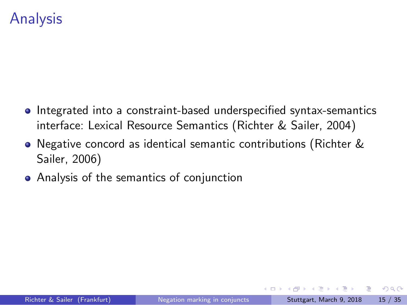### Analysis

- $\bullet$  Integrated into a constraint-based underspecified syntax-semantics interface: Lexical Resource Semantics (Richter & Sailer, 2004)
- Negative concord as identical semantic contributions (Richter & Sailer, 2006)
- Analysis of the semantics of conjunction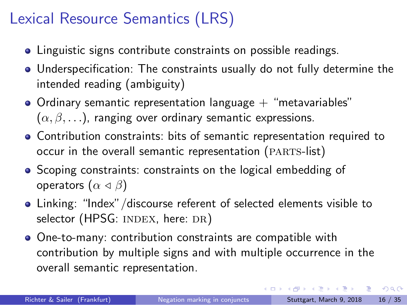#### Lexical Resource Semantics (LRS)

- Linguistic signs contribute constraints on possible readings.
- Underspecification: The constraints usually do not fully determine the intended reading (ambiguity)
- $\bullet$  Ordinary semantic representation language  $+$  "metavariables"  $(\alpha, \beta, \ldots)$ , ranging over ordinary semantic expressions.
- Contribution constraints: bits of semantic representation required to occur in the overall semantic representation (PARTS-list)
- Scoping constraints: constraints on the logical embedding of operators (*α ◁ β*)
- Linking: "Index"/discourse referent of selected elements visible to selector (HPSG: INDEX, here: DR)
- One-to-many: contribution constraints are compatible with contribution by multiple signs and with multiple occurrence in the overall semantic representation.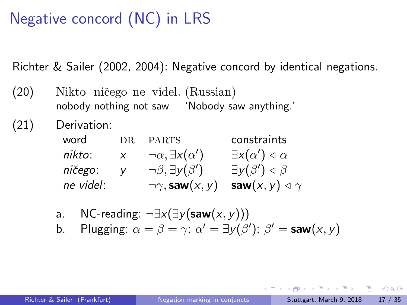### Negative concord (NC) in LRS

Richter & Sailer (2002, 2004): Negative concord by identical negations.

(20) Nikto ničego ne videl. (Russian) nobody nothing not saw 'Nobody saw anything.'

(21) Derivation:

| word      | DR.    | <b>PARTS</b>                         | constraints                               |
|-----------|--------|--------------------------------------|-------------------------------------------|
| nikto:    | $\chi$ | $\neg \alpha$ , $\exists x(\alpha')$ | $\exists x(\alpha') \triangleleft \alpha$ |
| ničego:   | V      | $\neg \beta$ , $\exists y(\beta')$   | $\exists y(\beta') \triangleleft \beta$   |
| ne videl: |        | $\neg \gamma$ , saw $(x, y)$         | saw $(x, y) \triangleleft \gamma$         |

- a. NC-reading: *¬∃x*(*∃y*(**saw**(*x, y*)))
- b. Plugging:  $\alpha = \beta = \gamma$ ;  $\alpha' = \exists y(\beta')$ ;  $\beta' = \textsf{ saw}(x, y)$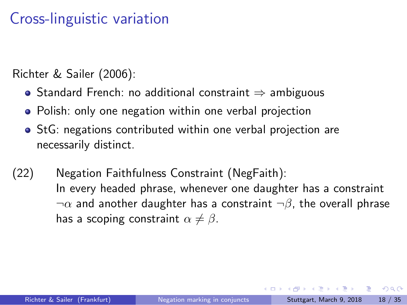### Cross-linguistic variation

Richter & Sailer (2006):

- Standard French: no additional constraint *⇒* ambiguous
- Polish: only one negation within one verbal projection
- StG: negations contributed within one verbal projection are necessarily distinct.
- (22) Negation Faithfulness Constraint (NegFaith): In every headed phrase, whenever one daughter has a constraint *¬α* and another daughter has a constraint *¬β*, the overall phrase has a scoping constraint  $\alpha \neq \beta$ .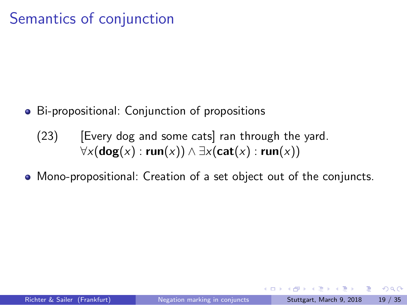## Semantics of conjunction

- Bi-propositional: Conjunction of propositions
	- (23) [Every dog and some cats] ran through the yard. *∀x*(**dog**(*x*) : **run**(*x*)) *∧ ∃x*(**cat**(*x*) : **run**(*x*))
- Mono-propositional: Creation of a set object out of the conjuncts.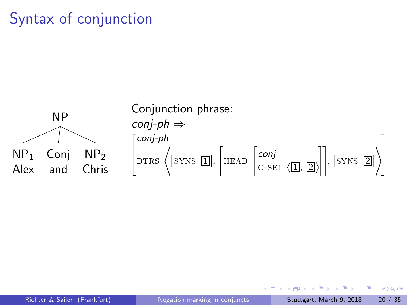## Syntax of conjunction

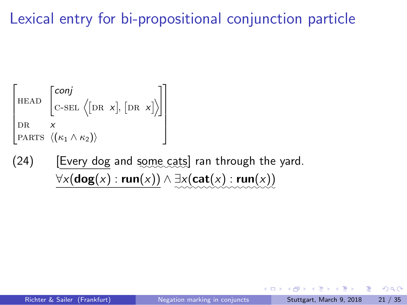## Lexical entry for bi-propositional conjunction particle

$$
\begin{bmatrix} \text{HEAD} & \begin{bmatrix} \text{conj} \\ \text{C-SEL} & \big(\text{DR } x\big], \text{[DR } x\big] \end{bmatrix} \\ \text{DR} & x \\ \text{PARTS} & \big\langle \big(\kappa_1 \wedge \kappa_2\big) \big\rangle \end{bmatrix}
$$

(24) [Every dog and some cats] ran through the yard. *∀x*(**dog**(*x*) : **run**(*x*)) *∧ ∃x*(**cat**(*x*) : **run**(*x*)) *✿✿✿✿✿✿✿✿✿✿✿✿✿✿✿✿✿✿*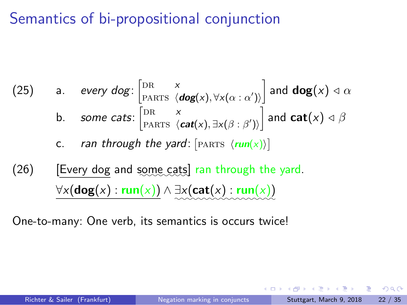## Semantics of bi-propositional conjunction

(25) a. every 
$$
\log: \begin{bmatrix} \text{DR} & x \\ \text{PARTS} & \langle \text{dog}(x), \forall x(\alpha : \alpha') \rangle \end{bmatrix}
$$
 and  $\log(x) \triangleleft \alpha$   
b. some cats:  $\begin{bmatrix} \text{DR} & x \\ \text{PARTS} & \langle \text{cat}(x), \exists x(\beta : \beta') \rangle \end{bmatrix}$  and  $\text{cat}(x) \triangleleft \beta$   
c. ran through the yard:  $\begin{bmatrix} \text{PARTS} & \langle \text{run}(x) \rangle \end{bmatrix}$ 

(26) [Every dog and some cats] ran through the yard. *∀x*(**dog**(*x*) : **run**(*x*)) *∧ ∃x*(**cat**(*x*) : **run**(*x*)) *✿✿✿✿✿✿✿✿✿✿✿✿✿✿✿✿✿✿*

One-to-many: One verb, its semantics is occurs twice!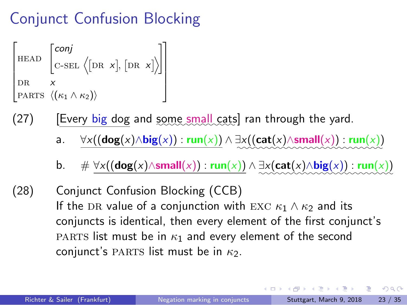### Conjunct Confusion Blocking

 $\Gamma$  $\begin{array}{c} \begin{array}{c} \begin{array}{c} \begin{array}{c} \end{array} \\ \begin{array}{c} \end{array} \end{array} \end{array} \end{array}$ HEAD  $\int$ *conj*  $c$ -sel  $\langle$ [DR *x*], [DR *x*] $\rangle$ 1 dr *x*  $\vert$  PARTS  $\langle$ ( $\kappa_1 \wedge \kappa_2$ ) $\rangle$ 1  $\begin{array}{c} \n\downarrow \\
\downarrow \\
\downarrow\n\end{array}$ 

- (27) [Every big dog and *✿✿✿✿✿* some *✿✿✿✿✿* small*✿✿✿✿* cats] ran through the yard.
	- a. *∀x*((**dog**(*x*)*∧***big**(*x*)) : **run**(*x*)) *∧ ∃x*((**cat**(*x*)*∧***small**(*x*)) : **run**(*x*)) *✿✿✿✿✿✿✿✿✿✿✿✿✿✿✿✿✿✿✿✿✿✿✿✿✿✿*
	- **b.**  $\#\forall x((\mathsf{dog}(x) \land \mathsf{small}(x)) : \mathsf{run}(x)) \land \exists x(\mathsf{cat}(x) \land \mathsf{big}(x)) : \mathsf{run}(x))$

(28) Conjunct Confusion Blocking (CCB) If the DR value of a conjunction with EXC  $\kappa_1 \wedge \kappa_2$  and its conjuncts is identical, then every element of the first conjunct's parts list must be in *κ*<sup>1</sup> and every element of the second conjunct's PARTS list must be in  $κ_2$ .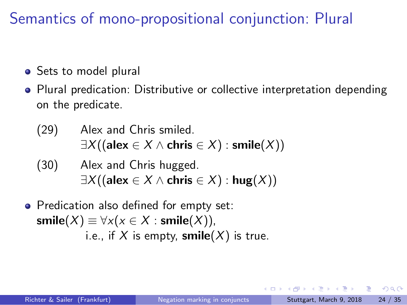### Semantics of mono-propositional conjunction: Plural

- Sets to model plural
- Plural predication: Distributive or collective interpretation depending on the predicate.
	- (29) Alex and Chris smiled. *∃X*((**alex** *∈ X ∧* **chris** *∈ X*) : **smile**(*X*))
	- (30) Alex and Chris hugged. *∃X*((**alex** *∈ X ∧* **chris** *∈ X*) : **hug**(*X*))
- Predication also defined for empty set:  $\mathsf{smile}(X) \equiv \forall x (x \in X : \mathsf{smile}(X)),$ i.e., if  $X$  is empty,  $\textsf{smile}(X)$  is true.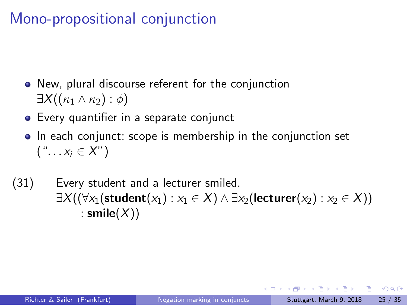### Mono-propositional conjunction

- New, plural discourse referent for the conjunction *∃X*((*κ*<sup>1</sup> *∧ κ*2) : *ϕ*)
- Every quantifier in a separate conjunct
- In each conjunct: scope is membership in the conjunction set  $(X^n, \ldots, X_i \in X^n)$
- (31) Every student and a lecturer smiled. *∃X*((*∀x*1(**student**(*x*1) : *x*<sup>1</sup> *∈ X*) *∧ ∃x*2(**lecturer**(*x*2) : *x*<sup>2</sup> *∈ X*)) : **smile**(*X*))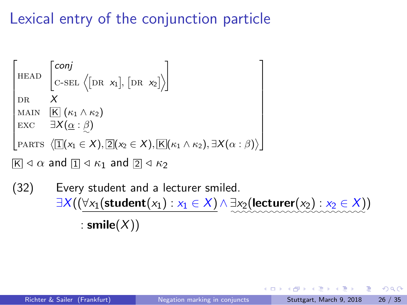## Lexical entry of the conjunction particle

| \n $\begin{bmatrix}\n \text{HEAD} & \begin{bmatrix}\n \text{conj} & \\  \text{C-SEL} & \langle \text{DR } x_1 \rangle, \text{[DR } x_2 \rangle \end{bmatrix}\n \end{bmatrix}$ \n                                                                 |
|--------------------------------------------------------------------------------------------------------------------------------------------------------------------------------------------------------------------------------------------------|
| \n $\begin{bmatrix}\n \text{MAX} & \text{K} & (\kappa_1 \wedge \kappa_2) \\  \text{EXC} & \exists X (\alpha : \beta)\n \end{bmatrix}$ \n                                                                                                         |
| \n $\begin{bmatrix}\n \text{PARTS } \langle \text{I}   (x_1 \in X), \text{[2]}(x_2 \in X), \text{[K]}(\kappa_1 \wedge \kappa_2), \exists X (\alpha : \beta) \rangle\n \end{bmatrix}$ \n                                                          |
| \n $\begin{bmatrix}\n \text{K} & \exists & \alpha \text{ and } \text{[I]} \triangleleft \kappa_1 \text{ and } \text{[2]} \triangleleft \kappa_2\n \end{bmatrix}$ \n                                                                              |
| \n $\begin{bmatrix}\n \text{S2} & \text{Every student and a lecturer smiled.} \\  \exists X ((\forall x_1 (\text{student}(x_1) : x_1 \in X) \land \exists x_2 (\text{lecturer}(x_2) : x_2 \in X)) \\  \vdots \text{smile}(X)\n \end{bmatrix}$ \n |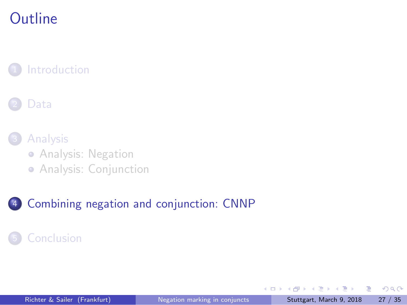## **Outline**

**1** Introduction

2 Data

3 Analysis

Analysis: Negation

Analysis: Conjunction

4 Combining negation and conjunction: CNNP

5 Conclusion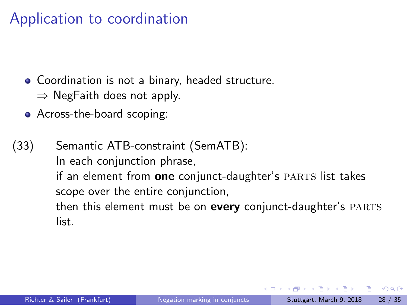### Application to coordination

- Coordination is not a binary, headed structure. *⇒* NegFaith does not apply.
- Across-the-board scoping:

(33) Semantic ATB-constraint (SemATB): In each conjunction phrase, if an element from **one** conjunct-daughter's PARTS list takes scope over the entire conjunction, then this element must be on every conjunct-daughter's PARTS list.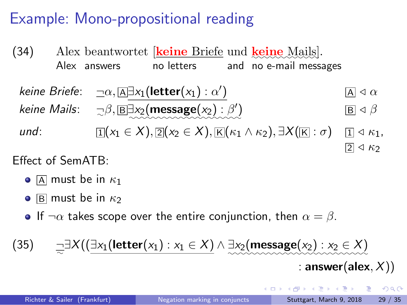#### Example: Mono-propositional reading

(34) Alex beantwortet [**<u>keine Briefe</u>** und **<u>keine Mails</u>**]. Alex answers no letters and no e-mail messages *keine Briefe*: *¬α,* <sup>A</sup> *∃x*1(**letter**(*x*1) : *α ′*  $\boxed{A} \triangleleft \alpha$  $k$ *eine Mails*:  $\beta$ ,  $\boxed{\mathbb{B}^{\exists}x_2(\mathsf{message}(x_2):\beta')}$  $\boxed{B}$   $\triangleleft$   $\beta$ *und*:  $\mathbb{I}[(x_1 \in X), \mathbb{Z}](x_2 \in X), \mathbb{K}[(\kappa_1 \wedge \kappa_2), \exists X(\mathbb{K}:\sigma) \quad \mathbb{I} \triangleleft \kappa_1,$  $\boxed{2} \triangleleft \kappa_2$ 

Effect of SemATB:

- $\bullet$  A must be in  $\kappa_1$
- $\bullet$  **B** must be in  $\kappa_2$
- **•** If  $\neg \alpha$  takes scope over the entire conjunction, then  $\alpha = \beta$ .

 $(35)$ *∃X*((*∃x*1(**letter**(*x*1) : *x*<sup>1</sup> *∈ X*) *∧ ∃x*2(**message**(*x*2) : *x*<sup>2</sup> *∈ X*) *✿✿✿✿✿✿✿✿✿✿✿✿✿✿✿✿✿✿✿✿✿✿✿✿✿*

: **answer**(**alex***, X*))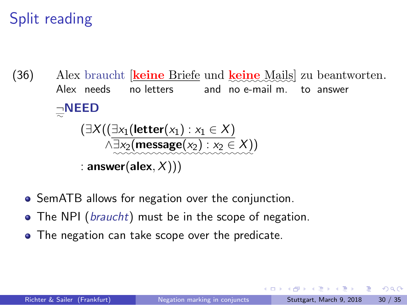### Split reading

(36) Alex braucht *[keine Briefe und keine Mails] zu beantworten.* Alex needs no letters and no e-mail m. to answer *¬✿* **NEED** (*∃X*((*∃x*1(**letter**(*x*1) : *x*<sup>1</sup> *∈ X*) *∧∃x*2(**message**(*x*2) : *x*<sup>2</sup> *∈ X*) *✿✿✿✿✿✿✿✿✿✿✿✿✿✿✿✿✿✿✿✿✿✿✿✿✿* ) : **answer**(**alex***, X*)))

- SemATB allows for negation over the conjunction.
- The NPI (*braucht*) must be in the scope of negation.
- The negation can take scope over the predicate.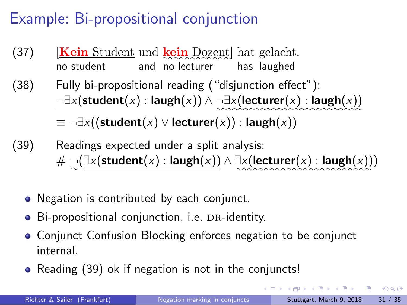### Example: Bi-propositional conjunction

- (37) [Kein Student und kein Dozent] hat gelacht. no student and no lecturer has laughed
- (38) Fully bi-propositional reading ("disjunction effect"): *¬∃x*(**student**(*x*) : **laugh**(*x*)) *∧ ¬∃x*(**lecturer**(*x*) : **laugh**(*x*)) *✿✿✿✿✿✿✿✿✿✿✿✿✿✿✿✿✿✿✿✿✿✿✿✿✿✿ ≡ ¬∃x*((**student**(*x*) *∨* **lecturer**(*x*)) : **laugh**(*x*))
- (39) Readings expected under a split analysis: # *¬✿* (*∃x*(**student**(*x*) : **laugh**(*x*)) *∧ ∃x*(**lecturer**(*x*) : **laugh**(*x*)) *✿✿✿✿✿✿✿✿✿✿✿✿✿✿✿✿✿✿✿✿✿✿✿✿* )
	- Negation is contributed by each conjunct.
	- · Bi-propositional conjunction, i.e. DR-identity.
	- Conjunct Confusion Blocking enforces negation to be conjunct internal.
	- Reading (39) ok if negation is not in the conjuncts!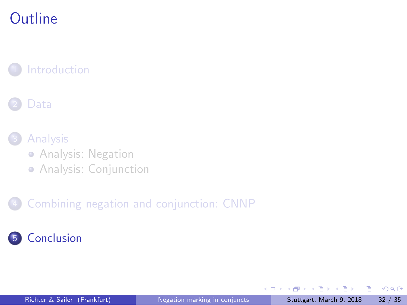## **Outline**

**1** Introduction

2 Data

3 Analysis

Analysis: Negation

Analysis: Conjunction

4 Combining negation and conjunction: CNNP

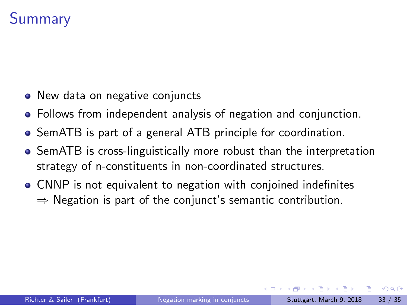### Summary

- New data on negative conjuncts
- Follows from independent analysis of negation and conjunction.
- SemATB is part of a general ATB principle for coordination.
- SemATB is cross-linguistically more robust than the interpretation strategy of n-constituents in non-coordinated structures.
- CNNP is not equivalent to negation with conjoined indefinites *⇒* Negation is part of the conjunct's semantic contribution.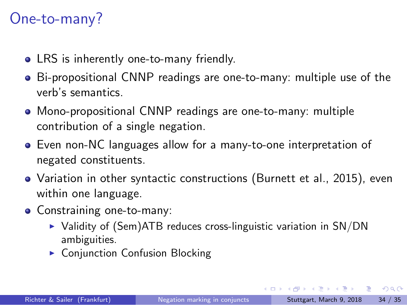#### One-to-many?

- LRS is inherently one-to-many friendly.
- Bi-propositional CNNP readings are one-to-many: multiple use of the verb's semantics.
- Mono-propositional CNNP readings are one-to-many: multiple contribution of a single negation.
- Even non-NC languages allow for a many-to-one interpretation of negated constituents.
- Variation in other syntactic constructions (Burnett et al., 2015), even within one language.
- Constraining one-to-many:
	- ▶ Validity of (Sem)ATB reduces cross-linguistic variation in SN/DN ambiguities.
	- ▶ Conjunction Confusion Blocking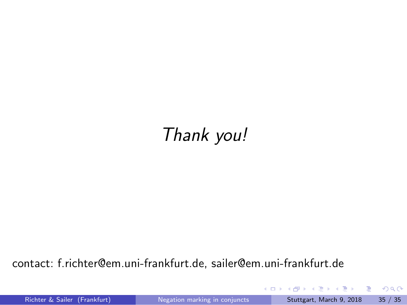# *Thank you!*

contact: f.richter@em.uni-frankfurt.de, sailer@em.uni-frankfurt.de